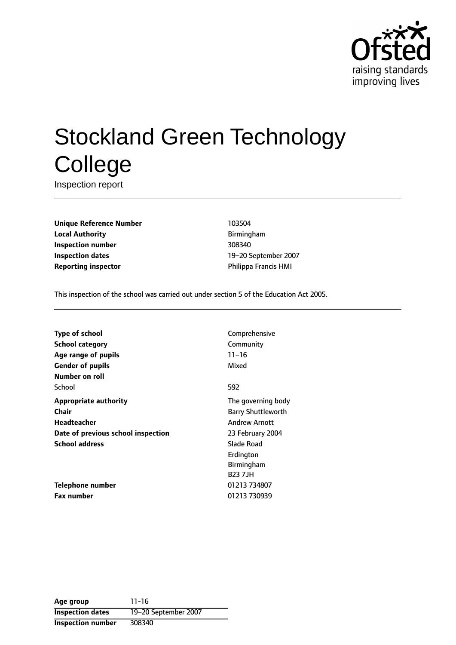

# Stockland Green Technology **College**

Inspection report

**Unique Reference Number** 103504 **Local Authority Birmingham Inspection number** 308340 **Inspection dates** 19-20 September 2007 **Reporting inspector CONFIDENTIAL PHILIPPA FRANCIS HMI** 

This inspection of the school was carried out under section 5 of the Education Act 2005.

| <b>Type of school</b>              | Comprehensive             |
|------------------------------------|---------------------------|
| <b>School category</b>             | Community                 |
| Age range of pupils                | $11 - 16$                 |
| <b>Gender of pupils</b>            | Mixed                     |
| Number on roll                     |                           |
| School                             | 592                       |
| <b>Appropriate authority</b>       | The governing body        |
| Chair                              | <b>Barry Shuttleworth</b> |
| Headteacher                        | <b>Andrew Arnott</b>      |
| Date of previous school inspection | 23 February 2004          |
| <b>School address</b>              | Slade Road                |
|                                    | Erdington                 |
|                                    | Birmingham                |
|                                    | <b>B237JH</b>             |
| Telephone number                   | 01213 734807              |
| <b>Fax number</b>                  | 01213 730939              |

**Age group** 11-16 **Inspection dates** 19-20 September 2007 **Inspection number** 308340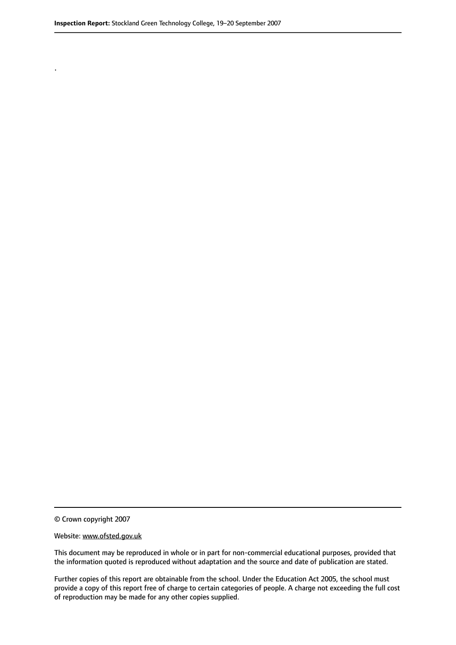.

© Crown copyright 2007

#### Website: www.ofsted.gov.uk

This document may be reproduced in whole or in part for non-commercial educational purposes, provided that the information quoted is reproduced without adaptation and the source and date of publication are stated.

Further copies of this report are obtainable from the school. Under the Education Act 2005, the school must provide a copy of this report free of charge to certain categories of people. A charge not exceeding the full cost of reproduction may be made for any other copies supplied.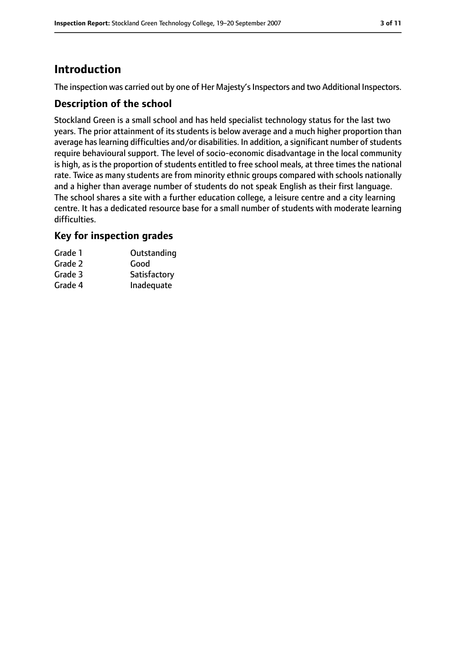# **Introduction**

The inspection was carried out by one of Her Majesty's Inspectors and two Additional Inspectors.

## **Description of the school**

Stockland Green is a small school and has held specialist technology status for the last two years. The prior attainment of its students is below average and a much higher proportion than average has learning difficulties and/or disabilities. In addition, a significant number of students require behavioural support. The level of socio-economic disadvantage in the local community is high, as is the proportion of students entitled to free school meals, at three times the national rate. Twice as many students are from minority ethnic groups compared with schools nationally and a higher than average number of students do not speak English as their first language. The school shares a site with a further education college, a leisure centre and a city learning centre. It has a dedicated resource base for a small number of students with moderate learning difficulties.

## **Key for inspection grades**

| Grade 1 | Outstanding  |
|---------|--------------|
| Grade 2 | Good         |
| Grade 3 | Satisfactory |
| Grade 4 | Inadequate   |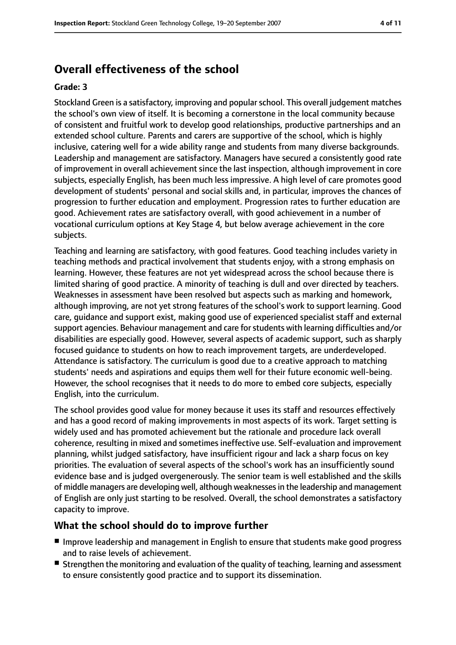# **Overall effectiveness of the school**

#### **Grade: 3**

Stockland Green is a satisfactory, improving and popularschool. This overall judgement matches the school's own view of itself. It is becoming a cornerstone in the local community because of consistent and fruitful work to develop good relationships, productive partnerships and an extended school culture. Parents and carers are supportive of the school, which is highly inclusive, catering well for a wide ability range and students from many diverse backgrounds. Leadership and management are satisfactory. Managers have secured a consistently good rate of improvement in overall achievement since the last inspection, although improvement in core subjects, especially English, has been much less impressive. A high level of care promotes good development of students' personal and social skills and, in particular, improves the chances of progression to further education and employment. Progression rates to further education are good. Achievement rates are satisfactory overall, with good achievement in a number of vocational curriculum options at Key Stage 4, but below average achievement in the core subjects.

Teaching and learning are satisfactory, with good features. Good teaching includes variety in teaching methods and practical involvement that students enjoy, with a strong emphasis on learning. However, these features are not yet widespread across the school because there is limited sharing of good practice. A minority of teaching is dull and over directed by teachers. Weaknesses in assessment have been resolved but aspects such as marking and homework, although improving, are not yet strong features of the school's work to support learning. Good care, guidance and support exist, making good use of experienced specialist staff and external support agencies. Behaviour management and care for students with learning difficulties and/or disabilities are especially good. However, several aspects of academic support, such as sharply focused guidance to students on how to reach improvement targets, are underdeveloped. Attendance is satisfactory. The curriculum is good due to a creative approach to matching students' needs and aspirations and equips them well for their future economic well-being. However, the school recognises that it needs to do more to embed core subjects, especially English, into the curriculum.

The school provides good value for money because it uses its staff and resources effectively and has a good record of making improvements in most aspects of its work. Target setting is widely used and has promoted achievement but the rationale and procedure lack overall coherence, resulting in mixed and sometimes ineffective use. Self-evaluation and improvement planning, whilst judged satisfactory, have insufficient rigour and lack a sharp focus on key priorities. The evaluation of several aspects of the school's work has an insufficiently sound evidence base and is judged overgenerously. The senior team is well established and the skills of middle managers are developing well, although weaknessesin the leadership and management of English are only just starting to be resolved. Overall, the school demonstrates a satisfactory capacity to improve.

#### **What the school should do to improve further**

- Improve leadership and management in English to ensure that students make good progress and to raise levels of achievement.
- Strengthen the monitoring and evaluation of the quality of teaching, learning and assessment to ensure consistently good practice and to support its dissemination.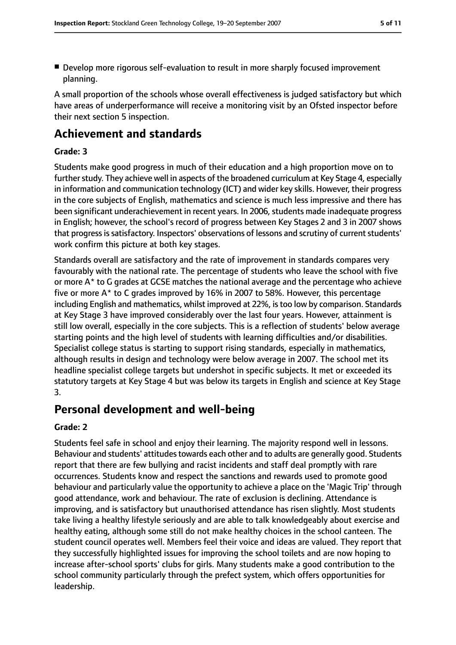■ Develop more rigorous self-evaluation to result in more sharply focused improvement planning.

A small proportion of the schools whose overall effectiveness is judged satisfactory but which have areas of underperformance will receive a monitoring visit by an Ofsted inspector before their next section 5 inspection.

# **Achievement and standards**

#### **Grade: 3**

Students make good progress in much of their education and a high proportion move on to further study. They achieve well in aspects of the broadened curriculum at Key Stage 4, especially in information and communication technology (ICT) and wider key skills. However, their progress in the core subjects of English, mathematics and science is much less impressive and there has been significant underachievement in recent years. In 2006, students made inadequate progress in English; however, the school's record of progress between Key Stages 2 and 3 in 2007 shows that progress is satisfactory. Inspectors' observations of lessons and scrutiny of current students' work confirm this picture at both key stages.

Standards overall are satisfactory and the rate of improvement in standards compares very favourably with the national rate. The percentage of students who leave the school with five or more A\* to G grades at GCSE matches the national average and the percentage who achieve five or more A\* to C grades improved by 16% in 2007 to 58%. However, this percentage including English and mathematics, whilst improved at 22%, istoo low by comparison. Standards at Key Stage 3 have improved considerably over the last four years. However, attainment is still low overall, especially in the core subjects. This is a reflection of students' below average starting points and the high level of students with learning difficulties and/or disabilities. Specialist college status is starting to support rising standards, especially in mathematics, although results in design and technology were below average in 2007. The school met its headline specialist college targets but undershot in specific subjects. It met or exceeded its statutory targets at Key Stage 4 but was below its targets in English and science at Key Stage 3.

# **Personal development and well-being**

#### **Grade: 2**

Students feel safe in school and enjoy their learning. The majority respond well in lessons. Behaviour and students' attitudes towards each other and to adults are generally good. Students report that there are few bullying and racist incidents and staff deal promptly with rare occurrences. Students know and respect the sanctions and rewards used to promote good behaviour and particularly value the opportunity to achieve a place on the 'Magic Trip' through good attendance, work and behaviour. The rate of exclusion is declining. Attendance is improving, and is satisfactory but unauthorised attendance has risen slightly. Most students take living a healthy lifestyle seriously and are able to talk knowledgeably about exercise and healthy eating, although some still do not make healthy choices in the school canteen. The student council operates well. Members feel their voice and ideas are valued. They report that they successfully highlighted issues for improving the school toilets and are now hoping to increase after-school sports' clubs for girls. Many students make a good contribution to the school community particularly through the prefect system, which offers opportunities for leadership.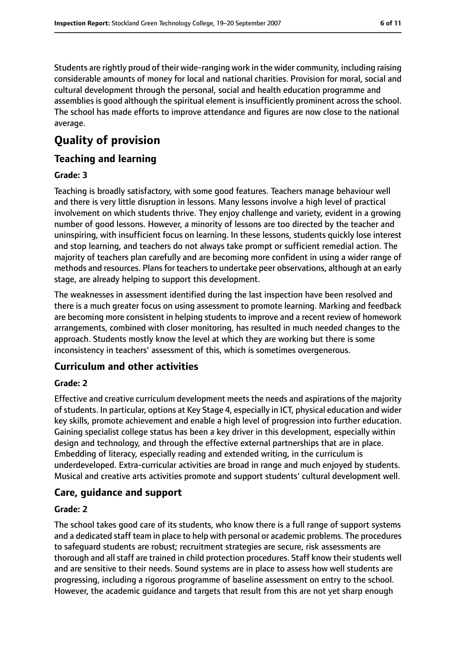Students are rightly proud of their wide-ranging work in the wider community, including raising considerable amounts of money for local and national charities. Provision for moral, social and cultural development through the personal, social and health education programme and assemblies is good although the spiritual element is insufficiently prominent across the school. The school has made efforts to improve attendance and figures are now close to the national average.

# **Quality of provision**

## **Teaching and learning**

#### **Grade: 3**

Teaching is broadly satisfactory, with some good features. Teachers manage behaviour well and there is very little disruption in lessons. Many lessons involve a high level of practical involvement on which students thrive. They enjoy challenge and variety, evident in a growing number of good lessons. However, a minority of lessons are too directed by the teacher and uninspiring, with insufficient focus on learning. In these lessons, students quickly lose interest and stop learning, and teachers do not always take prompt or sufficient remedial action. The majority of teachers plan carefully and are becoming more confident in using a wider range of methods and resources. Plans for teachers to undertake peer observations, although at an early stage, are already helping to support this development.

The weaknesses in assessment identified during the last inspection have been resolved and there is a much greater focus on using assessment to promote learning. Marking and feedback are becoming more consistent in helping students to improve and a recent review of homework arrangements, combined with closer monitoring, has resulted in much needed changes to the approach. Students mostly know the level at which they are working but there is some inconsistency in teachers' assessment of this, which is sometimes overgenerous.

## **Curriculum and other activities**

#### **Grade: 2**

Effective and creative curriculum development meets the needs and aspirations of the majority of students. In particular, options at Key Stage 4, especially in ICT, physical education and wider key skills, promote achievement and enable a high level of progression into further education. Gaining specialist college status has been a key driver in this development, especially within design and technology, and through the effective external partnerships that are in place. Embedding of literacy, especially reading and extended writing, in the curriculum is underdeveloped. Extra-curricular activities are broad in range and much enjoyed by students. Musical and creative arts activities promote and support students' cultural development well.

#### **Care, guidance and support**

#### **Grade: 2**

The school takes good care of its students, who know there is a full range of support systems and a dedicated staff team in place to help with personal or academic problems. The procedures to safeguard students are robust; recruitment strategies are secure, risk assessments are thorough and all staff are trained in child protection procedures. Staff know their students well and are sensitive to their needs. Sound systems are in place to assess how well students are progressing, including a rigorous programme of baseline assessment on entry to the school. However, the academic guidance and targets that result from this are not yet sharp enough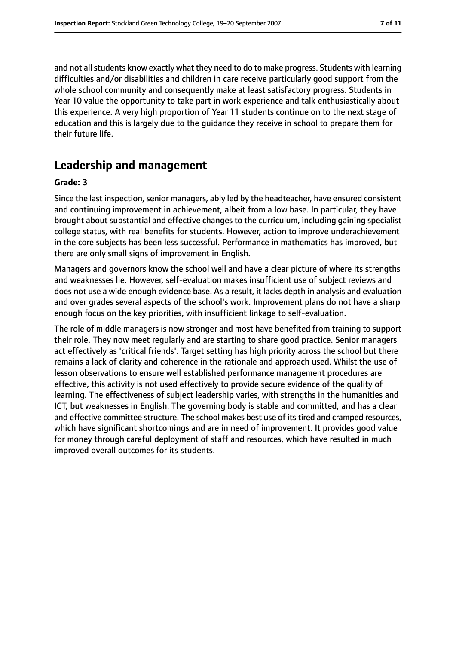and not all students know exactly what they need to do to make progress. Students with learning difficulties and/or disabilities and children in care receive particularly good support from the whole school community and consequently make at least satisfactory progress. Students in Year 10 value the opportunity to take part in work experience and talk enthusiastically about this experience. A very high proportion of Year 11 students continue on to the next stage of education and this is largely due to the guidance they receive in school to prepare them for their future life.

# **Leadership and management**

#### **Grade: 3**

Since the last inspection, senior managers, ably led by the headteacher, have ensured consistent and continuing improvement in achievement, albeit from a low base. In particular, they have brought about substantial and effective changes to the curriculum, including gaining specialist college status, with real benefits for students. However, action to improve underachievement in the core subjects has been less successful. Performance in mathematics has improved, but there are only small signs of improvement in English.

Managers and governors know the school well and have a clear picture of where its strengths and weaknesses lie. However, self-evaluation makes insufficient use of subject reviews and does not use a wide enough evidence base. As a result, it lacks depth in analysis and evaluation and over grades several aspects of the school's work. Improvement plans do not have a sharp enough focus on the key priorities, with insufficient linkage to self-evaluation.

The role of middle managers is now stronger and most have benefited from training to support their role. They now meet regularly and are starting to share good practice. Senior managers act effectively as 'critical friends'. Target setting has high priority across the school but there remains a lack of clarity and coherence in the rationale and approach used. Whilst the use of lesson observations to ensure well established performance management procedures are effective, this activity is not used effectively to provide secure evidence of the quality of learning. The effectiveness of subject leadership varies, with strengths in the humanities and ICT, but weaknesses in English. The governing body is stable and committed, and has a clear and effective committee structure. The school makes best use of its tired and cramped resources, which have significant shortcomings and are in need of improvement. It provides good value for money through careful deployment of staff and resources, which have resulted in much improved overall outcomes for its students.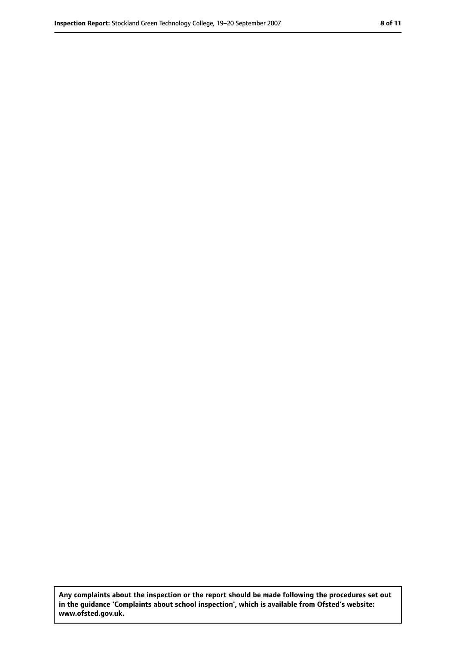**Any complaints about the inspection or the report should be made following the procedures set out in the guidance 'Complaints about school inspection', which is available from Ofsted's website: www.ofsted.gov.uk.**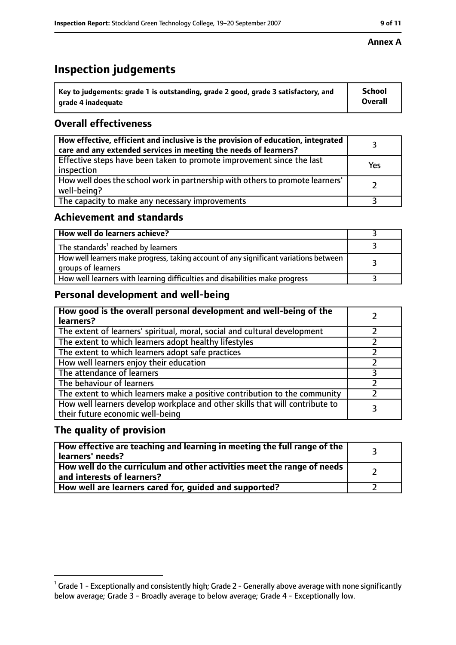# **Inspection judgements**

| $^{\backprime}$ Key to judgements: grade 1 is outstanding, grade 2 good, grade 3 satisfactory, and | School         |
|----------------------------------------------------------------------------------------------------|----------------|
| arade 4 inadequate                                                                                 | <b>Overall</b> |

# **Overall effectiveness**

| How effective, efficient and inclusive is the provision of education, integrated<br>care and any extended services in meeting the needs of learners? |     |
|------------------------------------------------------------------------------------------------------------------------------------------------------|-----|
| Effective steps have been taken to promote improvement since the last<br>inspection                                                                  | Yes |
| How well does the school work in partnership with others to promote learners'<br>well-being?                                                         |     |
| The capacity to make any necessary improvements                                                                                                      |     |

## **Achievement and standards**

| How well do learners achieve?                                                                               |  |
|-------------------------------------------------------------------------------------------------------------|--|
| The standards <sup>1</sup> reached by learners                                                              |  |
| How well learners make progress, taking account of any significant variations between<br>groups of learners |  |
| How well learners with learning difficulties and disabilities make progress                                 |  |

# **Personal development and well-being**

| How good is the overall personal development and well-being of the<br>learners?                                  |  |
|------------------------------------------------------------------------------------------------------------------|--|
| The extent of learners' spiritual, moral, social and cultural development                                        |  |
| The extent to which learners adopt healthy lifestyles                                                            |  |
| The extent to which learners adopt safe practices                                                                |  |
| How well learners enjoy their education                                                                          |  |
| The attendance of learners                                                                                       |  |
| The behaviour of learners                                                                                        |  |
| The extent to which learners make a positive contribution to the community                                       |  |
| How well learners develop workplace and other skills that will contribute to<br>their future economic well-being |  |

## **The quality of provision**

| How effective are teaching and learning in meeting the full range of the<br>learners' needs?          |  |
|-------------------------------------------------------------------------------------------------------|--|
| How well do the curriculum and other activities meet the range of needs<br>and interests of learners? |  |
| How well are learners cared for, guided and supported?                                                |  |

#### **Annex A**

 $^1$  Grade 1 - Exceptionally and consistently high; Grade 2 - Generally above average with none significantly below average; Grade 3 - Broadly average to below average; Grade 4 - Exceptionally low.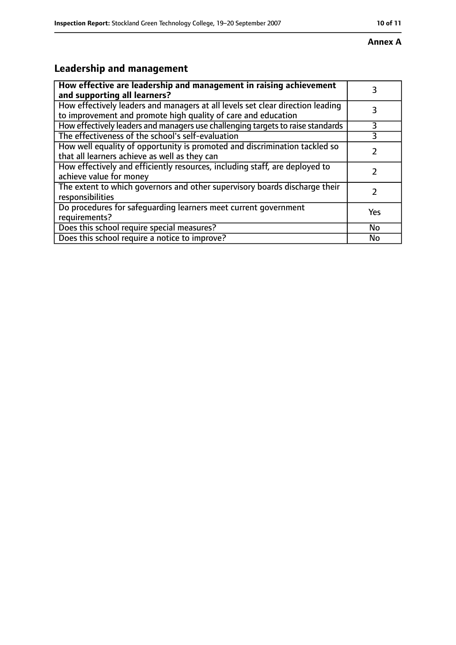#### **Annex A**

# **Leadership and management**

| How effective are leadership and management in raising achievement<br>and supporting all learners?                                              |     |
|-------------------------------------------------------------------------------------------------------------------------------------------------|-----|
| How effectively leaders and managers at all levels set clear direction leading<br>to improvement and promote high quality of care and education |     |
| How effectively leaders and managers use challenging targets to raise standards                                                                 | 3   |
| The effectiveness of the school's self-evaluation                                                                                               |     |
| How well equality of opportunity is promoted and discrimination tackled so<br>that all learners achieve as well as they can                     |     |
| How effectively and efficiently resources, including staff, are deployed to<br>achieve value for money                                          |     |
| The extent to which governors and other supervisory boards discharge their<br>responsibilities                                                  |     |
| Do procedures for safequarding learners meet current government<br>requirements?                                                                | Yes |
| Does this school require special measures?                                                                                                      | No  |
| Does this school require a notice to improve?                                                                                                   | No  |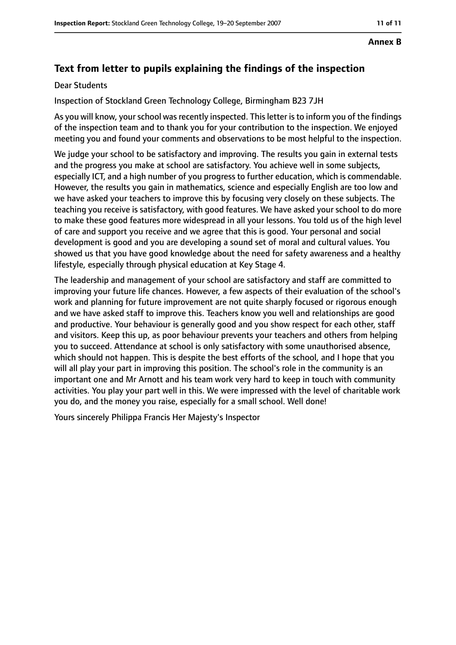#### **Annex B**

# **Text from letter to pupils explaining the findings of the inspection**

#### Dear Students

Inspection of Stockland Green Technology College, Birmingham B23 7JH

As you will know, your school was recently inspected. This letter is to inform you of the findings of the inspection team and to thank you for your contribution to the inspection. We enjoyed meeting you and found your comments and observations to be most helpful to the inspection.

We judge your school to be satisfactory and improving. The results you gain in external tests and the progress you make at school are satisfactory. You achieve well in some subjects, especially ICT, and a high number of you progress to further education, which is commendable. However, the results you gain in mathematics, science and especially English are too low and we have asked your teachers to improve this by focusing very closely on these subjects. The teaching you receive is satisfactory, with good features. We have asked your school to do more to make these good features more widespread in all your lessons. You told us of the high level of care and support you receive and we agree that this is good. Your personal and social development is good and you are developing a sound set of moral and cultural values. You showed us that you have good knowledge about the need for safety awareness and a healthy lifestyle, especially through physical education at Key Stage 4.

The leadership and management of your school are satisfactory and staff are committed to improving your future life chances. However, a few aspects of their evaluation of the school's work and planning for future improvement are not quite sharply focused or rigorous enough and we have asked staff to improve this. Teachers know you well and relationships are good and productive. Your behaviour is generally good and you show respect for each other, staff and visitors. Keep this up, as poor behaviour prevents your teachers and others from helping you to succeed. Attendance at school is only satisfactory with some unauthorised absence, which should not happen. This is despite the best efforts of the school, and I hope that you will all play your part in improving this position. The school's role in the community is an important one and Mr Arnott and his team work very hard to keep in touch with community activities. You play your part well in this. We were impressed with the level of charitable work you do, and the money you raise, especially for a small school. Well done!

Yours sincerely Philippa Francis Her Majesty's Inspector